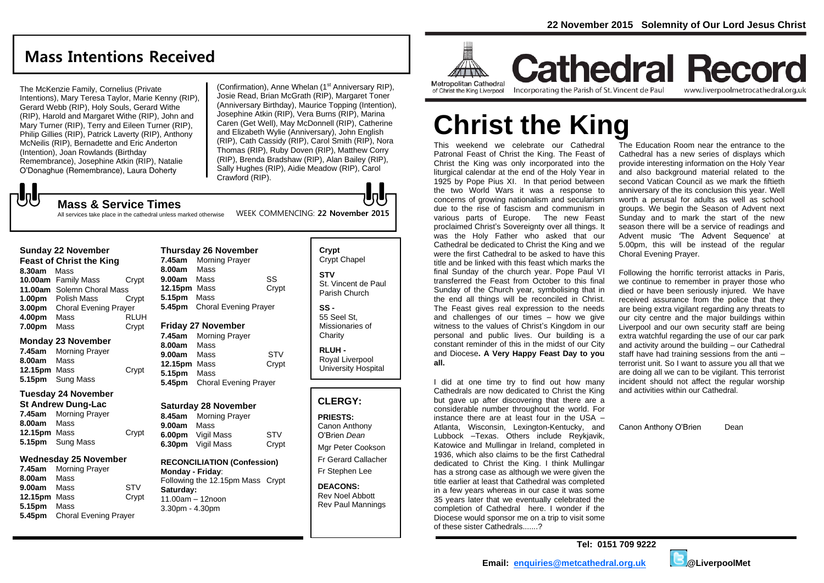# **Mass Intentions Received**

The McKenzie Family, Cornelius (Private Intentions), Mary Teresa Taylor, Marie Kenny (RIP), Gerard Webb (RIP), Holy Souls, Gerard Withe (RIP), Harold and Margaret Withe (RIP), John and Mary Turner (RIP), Terry and Eileen Turner (RIP), Philip Gillies (RIP), Patrick Laverty (RIP), Anthony McNeilis (RIP), Bernadette and Eric Anderton (Intention), Joan Rowlands (Birthday Remembrance), Josephine Atkin (RIP), Natalie O'Donaghue (Remembrance), Laura Doherty

(Confirmation), Anne Whelan (1<sup>st</sup> Anniversary RIP), Josie Read, Brian McGrath (RIP), Margaret Toner (Anniversary Birthday), Maurice Topping (Intention), Josephine Atkin (RIP), Vera Burns (RIP), Marina Caren (Get Well), May McDonnell (RIP), Catherine and Elizabeth Wylie (Anniversary), John English (RIP), Cath Cassidy (RIP), Carol Smith (RIP), Nora Thomas (RIP), Ruby Doven (RIP), Matthew Corry (RIP), Brenda Bradshaw (RIP), Alan Bailey (RIP), Sally Hughes (RIP), Aidie Meadow (RIP), Carol Crawford (RIP).

WEEK COMMENCING: **22 November 2015**

# $\sqrt{5}$

**Mass & Service Times** All services take place in the cathedral unless marked otherwise

#### **Sunday 22 November**

| <b>Feast of Christ the King</b> |                              |             |
|---------------------------------|------------------------------|-------------|
| 8.30am                          | Mass                         |             |
|                                 | 10.00am Family Mass          | Crypt       |
|                                 | 11.00am Solemn Choral Mass   |             |
|                                 | 1.00pm Polish Mass           | Crypt       |
| 3.00pm                          | <b>Choral Evening Prayer</b> |             |
| 4.00pm                          | Mass                         | <b>RLUH</b> |
| 7.00pm                          | Mass                         | Crypt       |

#### **Monday 23 November**

| 7.45am       | <b>Morning Prayer</b> |       |
|--------------|-----------------------|-------|
| 8.00am       | Mass                  |       |
| 12.15pm Mass |                       | Crypt |
|              | 5.15pm Sung Mass      |       |

#### **Tuesday 24 November**

| <b>St Andrew Dung-Lac</b> |                       |       |
|---------------------------|-----------------------|-------|
|                           | 7.45am Morning Prayer |       |
| 8.00am Mass               |                       |       |
| 12.15pm Mass              |                       | Crypt |
|                           | 5.15pm Sung Mass      |       |

### **Wednesday 25 November**

| 7.45am       | <b>Morning Prayer</b>        |            |
|--------------|------------------------------|------------|
| 8.00am       | Mass                         |            |
| 9.00am       | Mass                         | <b>STV</b> |
| 12.15pm Mass |                              | Crypt      |
| 5.15pm Mass  |                              |            |
| 5.45pm       | <b>Choral Evening Prayer</b> |            |

| <b>Thursday 26 November</b>                               |                              |       |  |
|-----------------------------------------------------------|------------------------------|-------|--|
|                                                           | 7.45am Morning Prayer        |       |  |
| 8.00am Mass                                               |                              |       |  |
| 9.00am                                                    | Mass                         | SS    |  |
| 12.15pm Mass                                              |                              | Crypt |  |
| 5.15pm Mass                                               |                              |       |  |
|                                                           | 5.45pm Choral Evening Prayer |       |  |
| <b>Friday 27 November</b><br><b>7 AFAM Morning Draver</b> |                              |       |  |

**7.45am** Morning Prayer **8.00am** Mass **9.00am** Mass STV **12.15pm** Mass Crypt **5.15pm** Mass

**5.45pm** Choral Evening Prayer

#### **Saturday 28 November**

| 8.45am | <b>Morning Prayer</b> |       |
|--------|-----------------------|-------|
| 9.00am | Mass                  |       |
| 6.00pm | Vigil Mass            | STV   |
| 6.30pm | Vigil Mass            | Crypt |
|        |                       |       |

#### **RECONCILIATION (Confession)**

**Monday - Friday**: Following the 12.15pm Mass Crypt **Saturday:** 11.00am – 12noon 3.30pm - 4.30pm

# **Crypt**  Crypt Chapel **STV** St. Vincent de Paul Parish Church **SS -**

55 Seel St, Missionaries of **Charity** 

**RLUH -** Royal Liverpool University Hospital

# **CLERGY:**

### **PRIESTS:**

Canon Anthony O'Brien *Dean*

Mgr Peter Cookson Fr Gerard Callacher Fr Stephen Lee

**DEACONS:** Rev Noel Abbott Rev Paul Mannings



**Cathedral Record** of Christ the King Liverpool

Incorporating the Parish of St. Vincent de Paul www.liverpoolmetrocathedral.org.uk

# **Christ the King**

This weekend we celebrate our Cathedral Patronal Feast of Christ the King. The Feast of Christ the King was only incorporated into the liturgical calendar at the end of the Holy Year in 1925 by Pope Pius XI. In that period between the two World Wars it was a response to concerns of growing nationalism and secularism due to the rise of fascism and communism in various parts of Europe. The new Feast proclaimed Christ's Sovereignty over all things. It was the Holy Father who asked that our Cathedral be dedicated to Christ the King and we were the first Cathedral to be asked to have this title and be linked with this feast which marks the final Sunday of the church year. Pope Paul VI transferred the Feast from October to this final Sunday of the Church year, symbolising that in the end all things will be reconciled in Christ. The Feast gives real expression to the needs and challenges of our times – how we give witness to the values of Christ's Kingdom in our personal and public lives. Our building is a constant reminder of this in the midst of our City and Diocese**. A Very Happy Feast Day to you all.**

I did at one time try to find out how many Cathedrals are now dedicated to Christ the King but gave up after discovering that there are a considerable number throughout the world. For instance there are at least four in the USA – Atlanta, Wisconsin, Lexington-Kentucky, and Lubbock –Texas. Others include Reykjavik, Katowice and Mullingar in Ireland, completed in 1936, which also claims to be the first Cathedral dedicated to Christ the King. I think Mullingar has a strong case as although we were given the title earlier at least that Cathedral was completed in a few years whereas in our case it was some 35 years later that we eventually celebrated the completion of Cathedral here. I wonder if the Diocese would sponsor me on a trip to visit some of these sister Cathedrals.......?

The Education Room near the entrance to the Cathedral has a new series of displays which provide interesting information on the Holy Year and also background material related to the second Vatican Council as we mark the fiftieth anniversary of the its conclusion this year. Well worth a perusal for adults as well as school groups. We begin the Season of Advent next Sunday and to mark the start of the new season there will be a service of readings and Advent music 'The Advent Sequence' at 5.00pm, this will be instead of the regular Choral Evening Prayer.

Following the horrific terrorist attacks in Paris, we continue to remember in prayer those who died or have been seriously injured. We have received assurance from the police that they are being extra vigilant regarding any threats to our city centre and the major buildings within Liverpool and our own security staff are being extra watchful regarding the use of our car park and activity around the building – our Cathedral staff have had training sessions from the anti – terrorist unit. So I want to assure you all that we are doing all we can to be vigilant. This terrorist incident should not affect the regular worship and activities within our Cathedral.

Canon Anthony O'Brien Dean